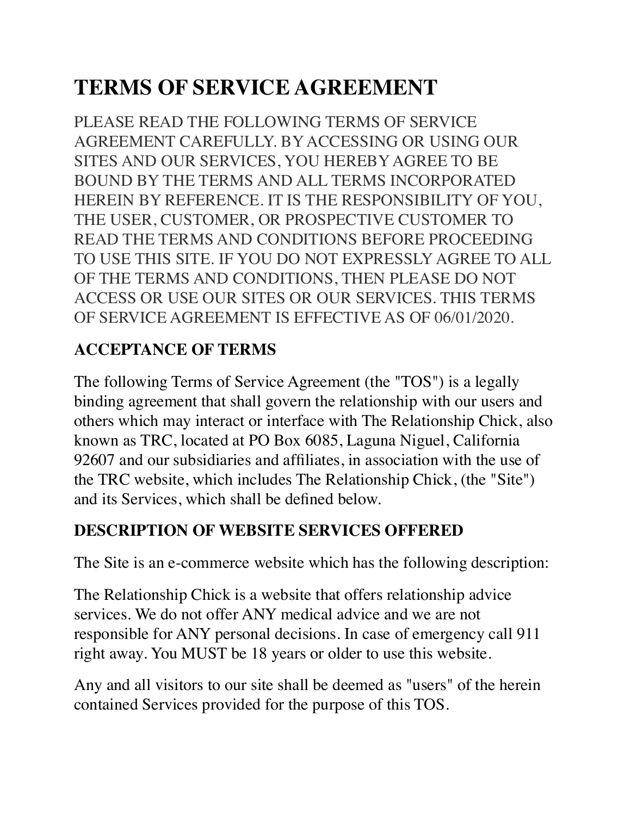# **TERMS OF SERVICE AGREEMENT**

PLEASE READ THE FOLLOWING TERMS OF SERVICE AGREEMENT CAREFULLY. BY ACCESSING OR USING OUR SITES AND OUR SERVICES, YOU HEREBY AGREE TO BE BOUND BY THE TERMS AND ALL TERMS INCORPORATED HEREIN BY REFERENCE. IT IS THE RESPONSIBILITY OF YOU, THE USER, CUSTOMER, OR PROSPECTIVE CUSTOMER TO READ THE TERMS AND CONDITIONS BEFORE PROCEEDING TO USE THIS SITE. IF YOU DO NOT EXPRESSLY AGREE TO ALL OF THE TERMS AND CONDITIONS, THEN PLEASE DO NOT ACCESS OR USE OUR SITES OR OUR SERVICES. THIS TERMS OF SERVICE AGREEMENT IS EFFECTIVE AS OF 06/01/2020.

#### **ACCEPTANCE OF TERMS**

The following Terms of Service Agreement (the "TOS") is a legally binding agreement that shall govern the relationship with our users and others which may interact or interface with The Relationship Chick, also known as TRC, located at PO Box 6085, Laguna Niguel, California 92607 and our subsidiaries and affiliates, in association with the use of the TRC website, which includes The Relationship Chick, (the "Site") and its Services, which shall be defined below.

#### **DESCRIPTION OF WEBSITE SERVICES OFFERED**

The Site is an e-commerce website which has the following description:

The Relationship Chick is a website that offers relationship advice services. We do not offer ANY medical advice and we are not responsible for ANY personal decisions. In case of emergency call 911 right away. You MUST be 18 years or older to use this website.

Any and all visitors to our site shall be deemed as "users" of the herein contained Services provided for the purpose of this TOS.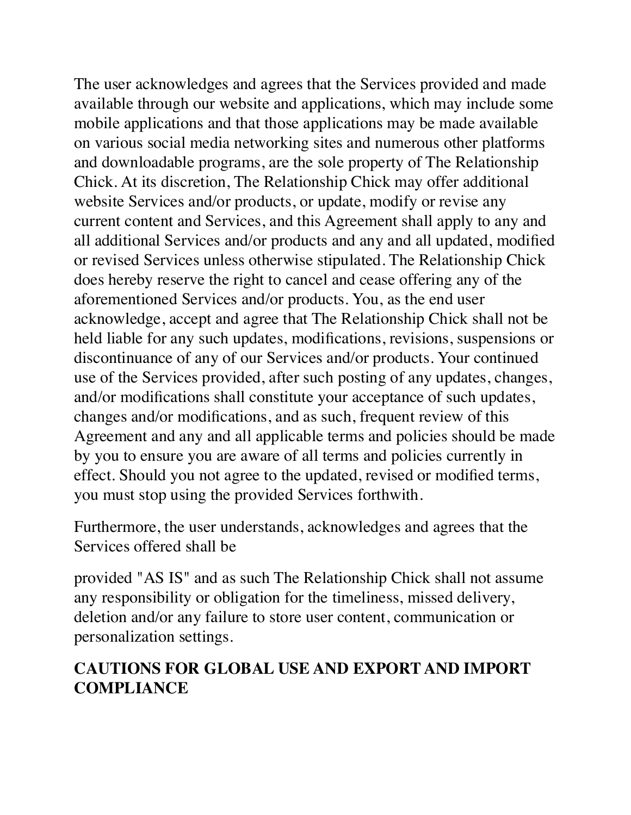The user acknowledges and agrees that the Services provided and made available through our website and applications, which may include some mobile applications and that those applications may be made available on various social media networking sites and numerous other platforms and downloadable programs, are the sole property of The Relationship Chick. At its discretion, The Relationship Chick may offer additional website Services and/or products, or update, modify or revise any current content and Services, and this Agreement shall apply to any and all additional Services and/or products and any and all updated, modified or revised Services unless otherwise stipulated. The Relationship Chick does hereby reserve the right to cancel and cease offering any of the aforementioned Services and/or products. You, as the end user acknowledge, accept and agree that The Relationship Chick shall not be held liable for any such updates, modifications, revisions, suspensions or discontinuance of any of our Services and/or products. Your continued use of the Services provided, after such posting of any updates, changes, and/or modifications shall constitute your acceptance of such updates, changes and/or modifications, and as such, frequent review of this Agreement and any and all applicable terms and policies should be made by you to ensure you are aware of all terms and policies currently in effect. Should you not agree to the updated, revised or modified terms, you must stop using the provided Services forthwith.

Furthermore, the user understands, acknowledges and agrees that the Services offered shall be

provided "AS IS" and as such The Relationship Chick shall not assume any responsibility or obligation for the timeliness, missed delivery, deletion and/or any failure to store user content, communication or personalization settings.

#### **CAUTIONS FOR GLOBAL USE AND EXPORT AND IMPORT COMPLIANCE**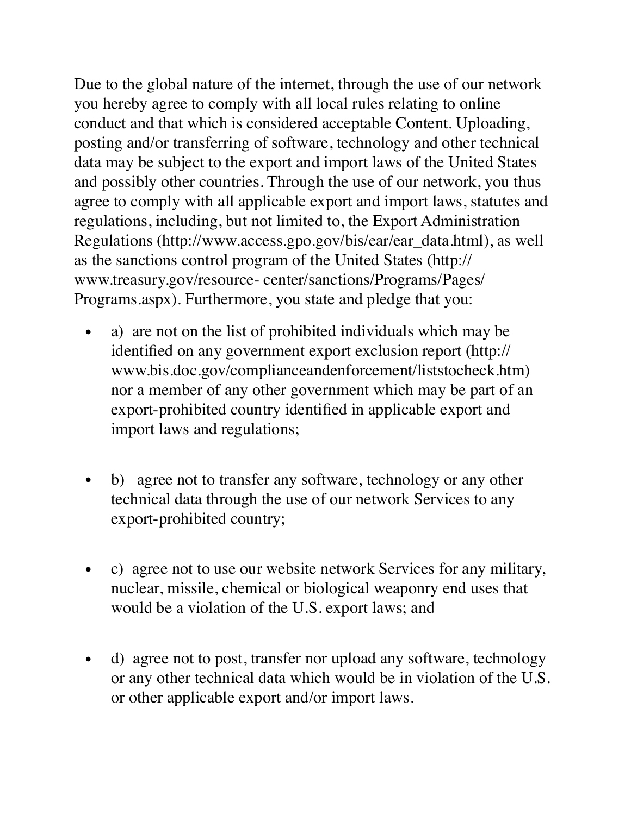Due to the global nature of the internet, through the use of our network you hereby agree to comply with all local rules relating to online conduct and that which is considered acceptable Content. Uploading, posting and/or transferring of software, technology and other technical data may be subject to the export and import laws of the United States and possibly other countries. Through the use of our network, you thus agree to comply with all applicable export and import laws, statutes and regulations, including, but not limited to, the Export Administration Regulations (http://www.access.gpo.gov/bis/ear/ear\_data.html), as well as the sanctions control program of the United States (http:// www.treasury.gov/resource- center/sanctions/Programs/Pages/ Programs.aspx). Furthermore, you state and pledge that you:

- a) are not on the list of prohibited individuals which may be identified on any government export exclusion report (http:// www.bis.doc.gov/complianceandenforcement/liststocheck.htm) nor a member of any other government which may be part of an export-prohibited country identified in applicable export and import laws and regulations;
- b) agree not to transfer any software, technology or any other technical data through the use of our network Services to any export-prohibited country;
- c) agree not to use our website network Services for any military, nuclear, missile, chemical or biological weaponry end uses that would be a violation of the U.S. export laws; and
- d) agree not to post, transfer nor upload any software, technology or any other technical data which would be in violation of the U.S. or other applicable export and/or import laws.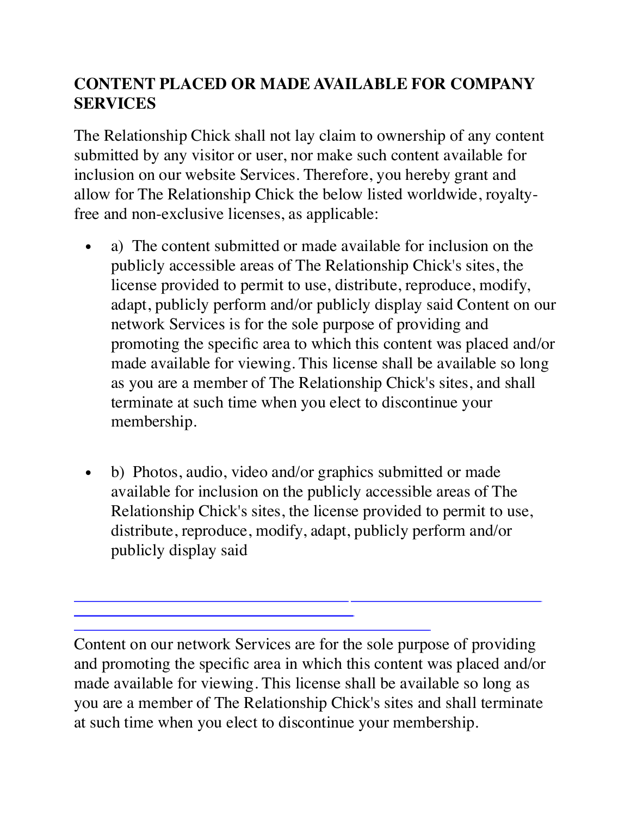#### **CONTENT PLACED OR MADE AVAILABLE FOR COMPANY SERVICES**

The Relationship Chick shall not lay claim to ownership of any content submitted by any visitor or user, nor make such content available for inclusion on our website Services. Therefore, you hereby grant and allow for The Relationship Chick the below listed worldwide, royaltyfree and non-exclusive licenses, as applicable:

- a) The content submitted or made available for inclusion on the publicly accessible areas of The Relationship Chick's sites, the license provided to permit to use, distribute, reproduce, modify, adapt, publicly perform and/or publicly display said Content on our network Services is for the sole purpose of providing and promoting the specific area to which this content was placed and/or made available for viewing. This license shall be available so long as you are a member of The Relationship Chick's sites, and shall terminate at such time when you elect to discontinue your membership.
- b) Photos, audio, video and/or graphics submitted or made available for inclusion on the publicly accessible areas of The Relationship Chick's sites, the license provided to permit to use, distribute, reproduce, modify, adapt, publicly perform and/or publicly display said

Content on our network Services are for the sole purpose of providing and promoting the specific area in which this content was placed and/or made available for viewing. This license shall be available so long as you are a member of The Relationship Chick's sites and shall terminate at such time when you elect to discontinue your membership.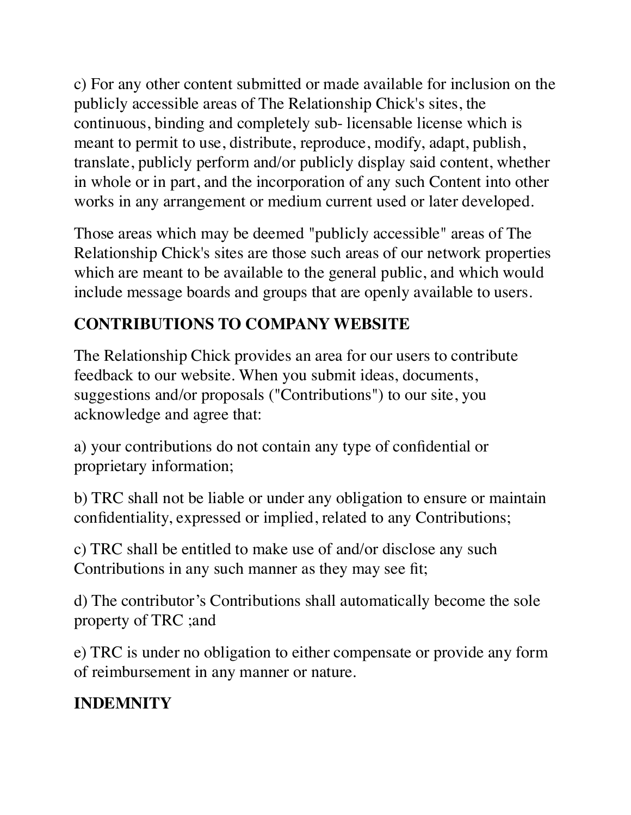c) For any other content submitted or made available for inclusion on the publicly accessible areas of The Relationship Chick's sites, the continuous, binding and completely sub- licensable license which is meant to permit to use, distribute, reproduce, modify, adapt, publish, translate, publicly perform and/or publicly display said content, whether in whole or in part, and the incorporation of any such Content into other works in any arrangement or medium current used or later developed.

Those areas which may be deemed "publicly accessible" areas of The Relationship Chick's sites are those such areas of our network properties which are meant to be available to the general public, and which would include message boards and groups that are openly available to users.

# **CONTRIBUTIONS TO COMPANY WEBSITE**

The Relationship Chick provides an area for our users to contribute feedback to our website. When you submit ideas, documents, suggestions and/or proposals ("Contributions") to our site, you acknowledge and agree that:

a) your contributions do not contain any type of confidential or proprietary information;

b) TRC shall not be liable or under any obligation to ensure or maintain confidentiality, expressed or implied, related to any Contributions;

c) TRC shall be entitled to make use of and/or disclose any such Contributions in any such manner as they may see fit;

d) The contributor's Contributions shall automatically become the sole property of TRC ;and

e) TRC is under no obligation to either compensate or provide any form of reimbursement in any manner or nature.

# **INDEMNITY**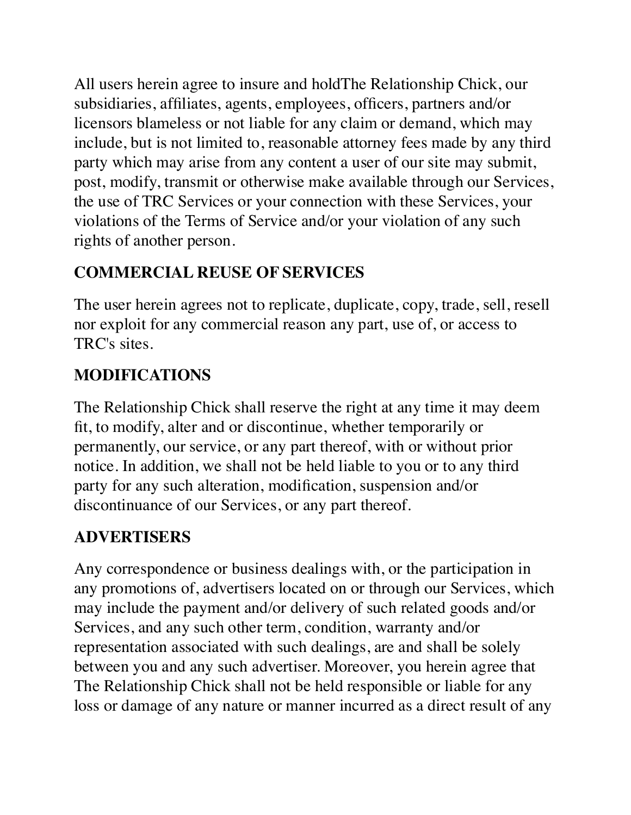All users herein agree to insure and holdThe Relationship Chick, our subsidiaries, affiliates, agents, employees, officers, partners and/or licensors blameless or not liable for any claim or demand, which may include, but is not limited to, reasonable attorney fees made by any third party which may arise from any content a user of our site may submit, post, modify, transmit or otherwise make available through our Services, the use of TRC Services or your connection with these Services, your violations of the Terms of Service and/or your violation of any such rights of another person.

# **COMMERCIAL REUSE OF SERVICES**

The user herein agrees not to replicate, duplicate, copy, trade, sell, resell nor exploit for any commercial reason any part, use of, or access to TRC's sites.

# **MODIFICATIONS**

The Relationship Chick shall reserve the right at any time it may deem fit, to modify, alter and or discontinue, whether temporarily or permanently, our service, or any part thereof, with or without prior notice. In addition, we shall not be held liable to you or to any third party for any such alteration, modification, suspension and/or discontinuance of our Services, or any part thereof.

# **ADVERTISERS**

Any correspondence or business dealings with, or the participation in any promotions of, advertisers located on or through our Services, which may include the payment and/or delivery of such related goods and/or Services, and any such other term, condition, warranty and/or representation associated with such dealings, are and shall be solely between you and any such advertiser. Moreover, you herein agree that The Relationship Chick shall not be held responsible or liable for any loss or damage of any nature or manner incurred as a direct result of any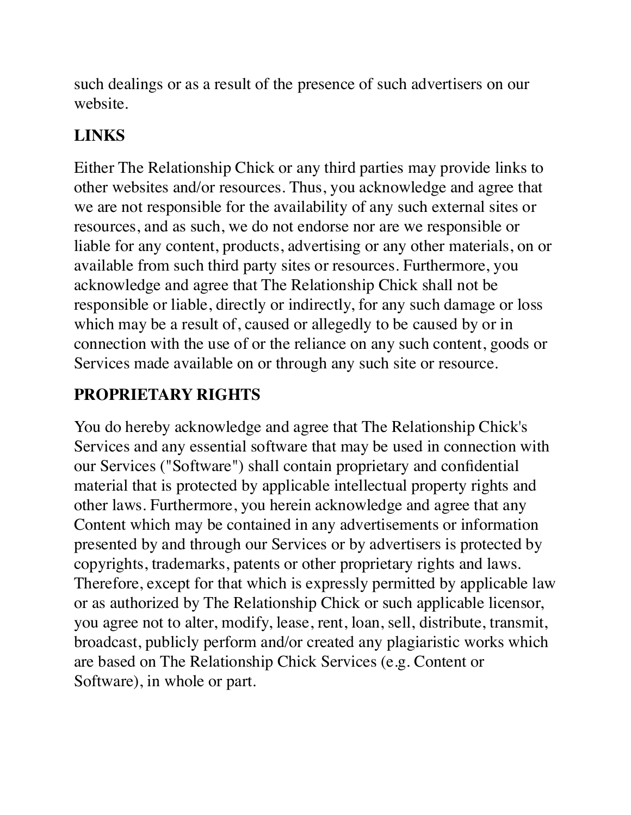such dealings or as a result of the presence of such advertisers on our website.

# **LINKS**

Either The Relationship Chick or any third parties may provide links to other websites and/or resources. Thus, you acknowledge and agree that we are not responsible for the availability of any such external sites or resources, and as such, we do not endorse nor are we responsible or liable for any content, products, advertising or any other materials, on or available from such third party sites or resources. Furthermore, you acknowledge and agree that The Relationship Chick shall not be responsible or liable, directly or indirectly, for any such damage or loss which may be a result of, caused or allegedly to be caused by or in connection with the use of or the reliance on any such content, goods or Services made available on or through any such site or resource.

# **PROPRIETARY RIGHTS**

You do hereby acknowledge and agree that The Relationship Chick's Services and any essential software that may be used in connection with our Services ("Software") shall contain proprietary and confidential material that is protected by applicable intellectual property rights and other laws. Furthermore, you herein acknowledge and agree that any Content which may be contained in any advertisements or information presented by and through our Services or by advertisers is protected by copyrights, trademarks, patents or other proprietary rights and laws. Therefore, except for that which is expressly permitted by applicable law or as authorized by The Relationship Chick or such applicable licensor, you agree not to alter, modify, lease, rent, loan, sell, distribute, transmit, broadcast, publicly perform and/or created any plagiaristic works which are based on The Relationship Chick Services (e.g. Content or Software), in whole or part.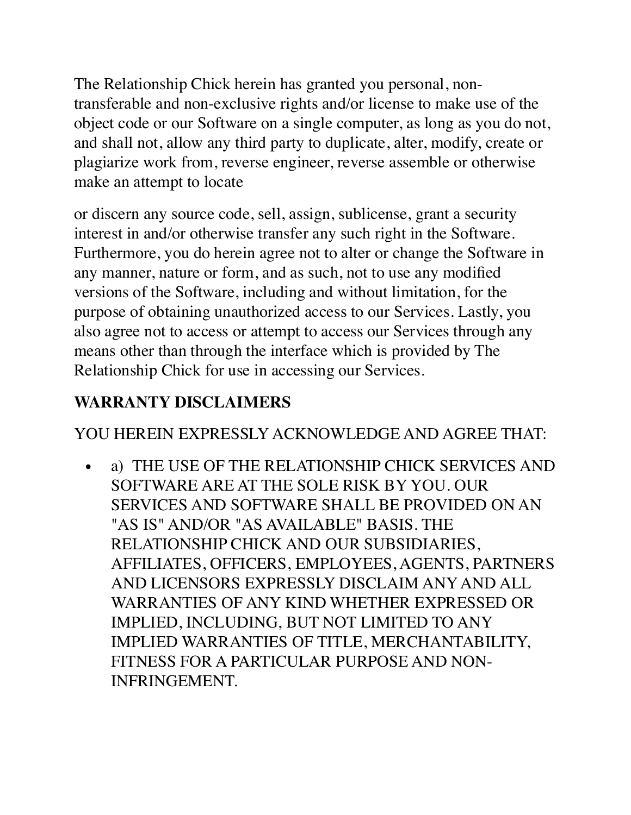The Relationship Chick herein has granted you personal, nontransferable and non-exclusive rights and/or license to make use of the object code or our Software on a single computer, as long as you do not, and shall not, allow any third party to duplicate, alter, modify, create or plagiarize work from, reverse engineer, reverse assemble or otherwise make an attempt to locate

or discern any source code, sell, assign, sublicense, grant a security interest in and/or otherwise transfer any such right in the Software. Furthermore, you do herein agree not to alter or change the Software in any manner, nature or form, and as such, not to use any modified versions of the Software, including and without limitation, for the purpose of obtaining unauthorized access to our Services. Lastly, you also agree not to access or attempt to access our Services through any means other than through the interface which is provided by The Relationship Chick for use in accessing our Services.

#### **WARRANTY DISCLAIMERS**

#### YOU HEREIN EXPRESSLY ACKNOWLEDGE AND AGREE THAT:

• a) THE USE OF THE RELATIONSHIP CHICK SERVICES AND SOFTWARE ARE AT THE SOLE RISK BY YOU. OUR SERVICES AND SOFTWARE SHALL BE PROVIDED ON AN "AS IS" AND/OR "AS AVAILABLE" BASIS. THE RELATIONSHIP CHICK AND OUR SUBSIDIARIES, AFFILIATES, OFFICERS, EMPLOYEES, AGENTS, PARTNERS AND LICENSORS EXPRESSLY DISCLAIM ANY AND ALL WARRANTIES OF ANY KIND WHETHER EXPRESSED OR IMPLIED, INCLUDING, BUT NOT LIMITED TO ANY IMPLIED WARRANTIES OF TITLE, MERCHANTABILITY, FITNESS FOR A PARTICULAR PURPOSE AND NON-INFRINGEMENT.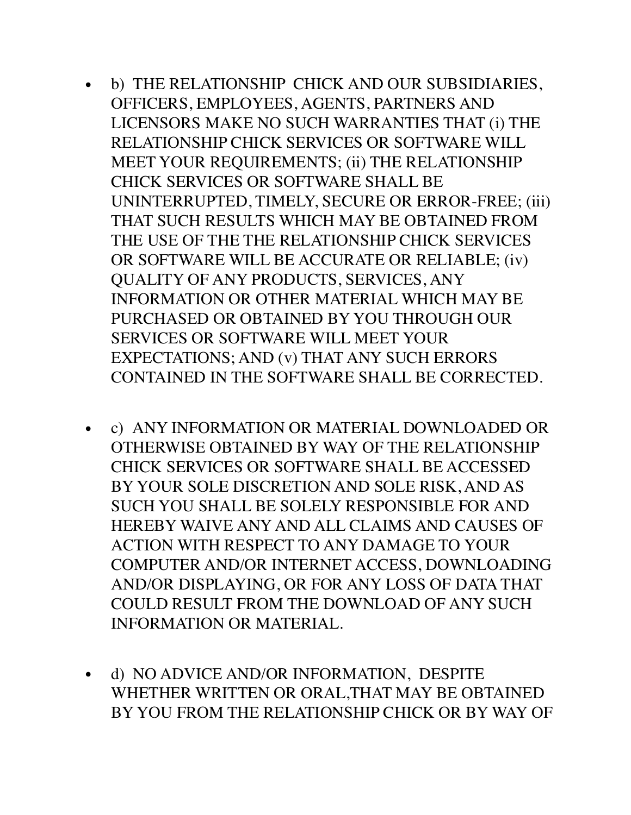- b) THE RELATIONSHIP CHICK AND OUR SUBSIDIARIES, OFFICERS, EMPLOYEES, AGENTS, PARTNERS AND LICENSORS MAKE NO SUCH WARRANTIES THAT (i) THE RELATIONSHIP CHICK SERVICES OR SOFTWARE WILL MEET YOUR REQUIREMENTS; (ii) THE RELATIONSHIP CHICK SERVICES OR SOFTWARE SHALL BE UNINTERRUPTED, TIMELY, SECURE OR ERROR-FREE; (iii) THAT SUCH RESULTS WHICH MAY BE OBTAINED FROM THE USE OF THE THE RELATIONSHIP CHICK SERVICES OR SOFTWARE WILL BE ACCURATE OR RELIABLE; (iv) QUALITY OF ANY PRODUCTS, SERVICES, ANY INFORMATION OR OTHER MATERIAL WHICH MAY BE PURCHASED OR OBTAINED BY YOU THROUGH OUR SERVICES OR SOFTWARE WILL MEET YOUR EXPECTATIONS; AND (v) THAT ANY SUCH ERRORS CONTAINED IN THE SOFTWARE SHALL BE CORRECTED.
- c) ANY INFORMATION OR MATERIAL DOWNLOADED OR OTHERWISE OBTAINED BY WAY OF THE RELATIONSHIP CHICK SERVICES OR SOFTWARE SHALL BE ACCESSED BY YOUR SOLE DISCRETION AND SOLE RISK, AND AS SUCH YOU SHALL BE SOLELY RESPONSIBLE FOR AND HEREBY WAIVE ANY AND ALL CLAIMS AND CAUSES OF ACTION WITH RESPECT TO ANY DAMAGE TO YOUR COMPUTER AND/OR INTERNET ACCESS, DOWNLOADING AND/OR DISPLAYING, OR FOR ANY LOSS OF DATA THAT COULD RESULT FROM THE DOWNLOAD OF ANY SUCH INFORMATION OR MATERIAL.
- d) NO ADVICE AND/OR INFORMATION, DESPITE WHETHER WRITTEN OR ORAL,THAT MAY BE OBTAINED BY YOU FROM THE RELATIONSHIP CHICK OR BY WAY OF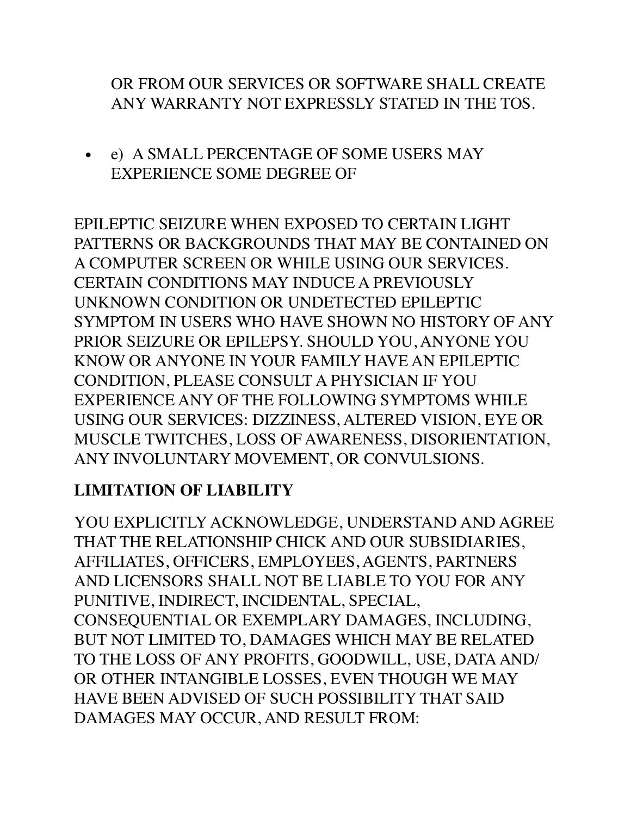#### OR FROM OUR SERVICES OR SOFTWARE SHALL CREATE ANY WARRANTY NOT EXPRESSLY STATED IN THE TOS.

• e) A SMALL PERCENTAGE OF SOME USERS MAY EXPERIENCE SOME DEGREE OF

EPILEPTIC SEIZURE WHEN EXPOSED TO CERTAIN LIGHT PATTERNS OR BACKGROUNDS THAT MAY BE CONTAINED ON A COMPUTER SCREEN OR WHILE USING OUR SERVICES. CERTAIN CONDITIONS MAY INDUCE A PREVIOUSLY UNKNOWN CONDITION OR UNDETECTED EPILEPTIC SYMPTOM IN USERS WHO HAVE SHOWN NO HISTORY OF ANY PRIOR SEIZURE OR EPILEPSY. SHOULD YOU, ANYONE YOU KNOW OR ANYONE IN YOUR FAMILY HAVE AN EPILEPTIC CONDITION, PLEASE CONSULT A PHYSICIAN IF YOU EXPERIENCE ANY OF THE FOLLOWING SYMPTOMS WHILE USING OUR SERVICES: DIZZINESS, ALTERED VISION, EYE OR MUSCLE TWITCHES, LOSS OF AWARENESS, DISORIENTATION, ANY INVOLUNTARY MOVEMENT, OR CONVULSIONS.

#### **LIMITATION OF LIABILITY**

YOU EXPLICITLY ACKNOWLEDGE, UNDERSTAND AND AGREE THAT THE RELATIONSHIP CHICK AND OUR SUBSIDIARIES, AFFILIATES, OFFICERS, EMPLOYEES, AGENTS, PARTNERS AND LICENSORS SHALL NOT BE LIABLE TO YOU FOR ANY PUNITIVE, INDIRECT, INCIDENTAL, SPECIAL, CONSEQUENTIAL OR EXEMPLARY DAMAGES, INCLUDING, BUT NOT LIMITED TO, DAMAGES WHICH MAY BE RELATED TO THE LOSS OF ANY PROFITS, GOODWILL, USE, DATA AND/ OR OTHER INTANGIBLE LOSSES, EVEN THOUGH WE MAY HAVE BEEN ADVISED OF SUCH POSSIBILITY THAT SAID DAMAGES MAY OCCUR, AND RESULT FROM: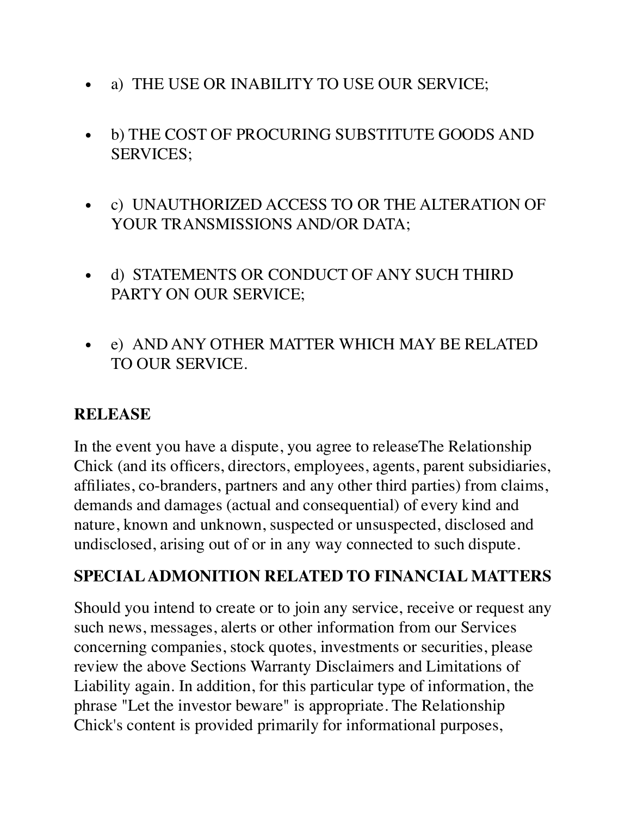- a) THE USE OR INABILITY TO USE OUR SERVICE;
- b) THE COST OF PROCURING SUBSTITUTE GOODS AND SERVICES;
- c) UNAUTHORIZED ACCESS TO OR THE ALTERATION OF YOUR TRANSMISSIONS AND/OR DATA;
- d) STATEMENTS OR CONDUCT OF ANY SUCH THIRD PARTY ON OUR SERVICE;
- e) AND ANY OTHER MATTER WHICH MAY BE RELATED TO OUR SERVICE.

#### **RELEASE**

In the event you have a dispute, you agree to releaseThe Relationship Chick (and its officers, directors, employees, agents, parent subsidiaries, affiliates, co-branders, partners and any other third parties) from claims, demands and damages (actual and consequential) of every kind and nature, known and unknown, suspected or unsuspected, disclosed and undisclosed, arising out of or in any way connected to such dispute.

#### **SPECIAL ADMONITION RELATED TO FINANCIAL MATTERS**

Should you intend to create or to join any service, receive or request any such news, messages, alerts or other information from our Services concerning companies, stock quotes, investments or securities, please review the above Sections Warranty Disclaimers and Limitations of Liability again. In addition, for this particular type of information, the phrase "Let the investor beware" is appropriate. The Relationship Chick's content is provided primarily for informational purposes,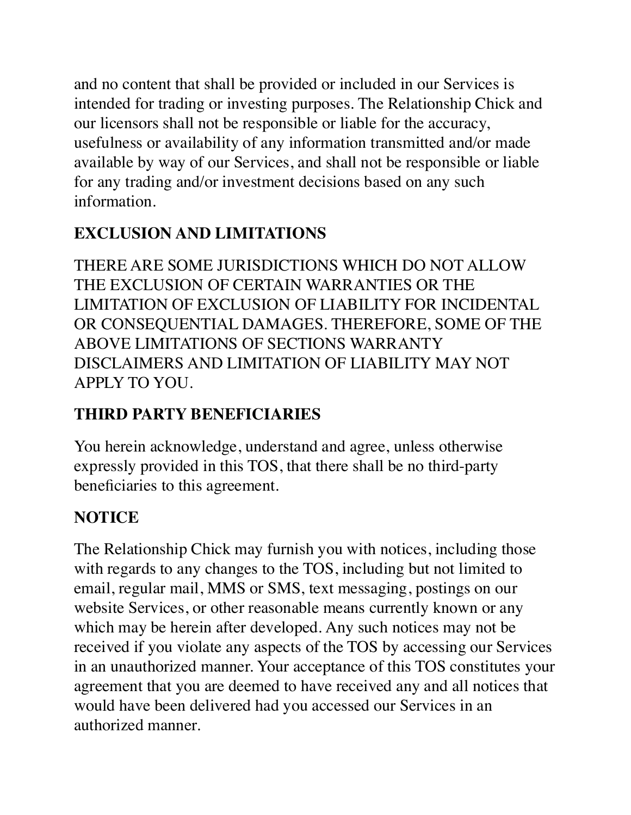and no content that shall be provided or included in our Services is intended for trading or investing purposes. The Relationship Chick and our licensors shall not be responsible or liable for the accuracy, usefulness or availability of any information transmitted and/or made available by way of our Services, and shall not be responsible or liable for any trading and/or investment decisions based on any such information.

### **EXCLUSION AND LIMITATIONS**

THERE ARE SOME JURISDICTIONS WHICH DO NOT ALLOW THE EXCLUSION OF CERTAIN WARRANTIES OR THE LIMITATION OF EXCLUSION OF LIABILITY FOR INCIDENTAL OR CONSEQUENTIAL DAMAGES. THEREFORE, SOME OF THE ABOVE LIMITATIONS OF SECTIONS WARRANTY DISCLAIMERS AND LIMITATION OF LIABILITY MAY NOT APPLY TO YOU.

# **THIRD PARTY BENEFICIARIES**

You herein acknowledge, understand and agree, unless otherwise expressly provided in this TOS, that there shall be no third-party beneficiaries to this agreement.

# **NOTICE**

The Relationship Chick may furnish you with notices, including those with regards to any changes to the TOS, including but not limited to email, regular mail, MMS or SMS, text messaging, postings on our website Services, or other reasonable means currently known or any which may be herein after developed. Any such notices may not be received if you violate any aspects of the TOS by accessing our Services in an unauthorized manner. Your acceptance of this TOS constitutes your agreement that you are deemed to have received any and all notices that would have been delivered had you accessed our Services in an authorized manner.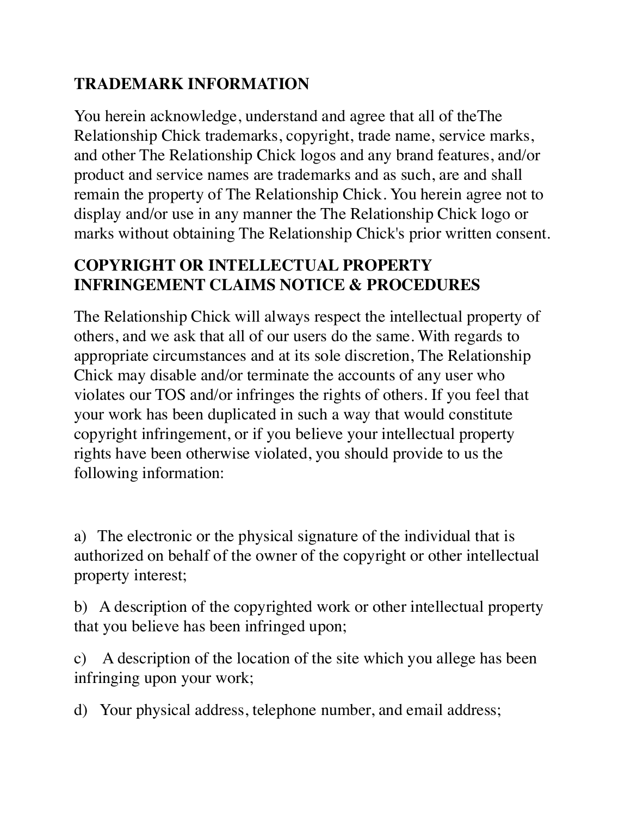#### **TRADEMARK INFORMATION**

You herein acknowledge, understand and agree that all of theThe Relationship Chick trademarks, copyright, trade name, service marks, and other The Relationship Chick logos and any brand features, and/or product and service names are trademarks and as such, are and shall remain the property of The Relationship Chick. You herein agree not to display and/or use in any manner the The Relationship Chick logo or marks without obtaining The Relationship Chick's prior written consent.

#### **COPYRIGHT OR INTELLECTUAL PROPERTY INFRINGEMENT CLAIMS NOTICE & PROCEDURES**

The Relationship Chick will always respect the intellectual property of others, and we ask that all of our users do the same. With regards to appropriate circumstances and at its sole discretion, The Relationship Chick may disable and/or terminate the accounts of any user who violates our TOS and/or infringes the rights of others. If you feel that your work has been duplicated in such a way that would constitute copyright infringement, or if you believe your intellectual property rights have been otherwise violated, you should provide to us the following information:

a) The electronic or the physical signature of the individual that is authorized on behalf of the owner of the copyright or other intellectual property interest;

b) A description of the copyrighted work or other intellectual property that you believe has been infringed upon;

c) A description of the location of the site which you allege has been infringing upon your work;

d) Your physical address, telephone number, and email address;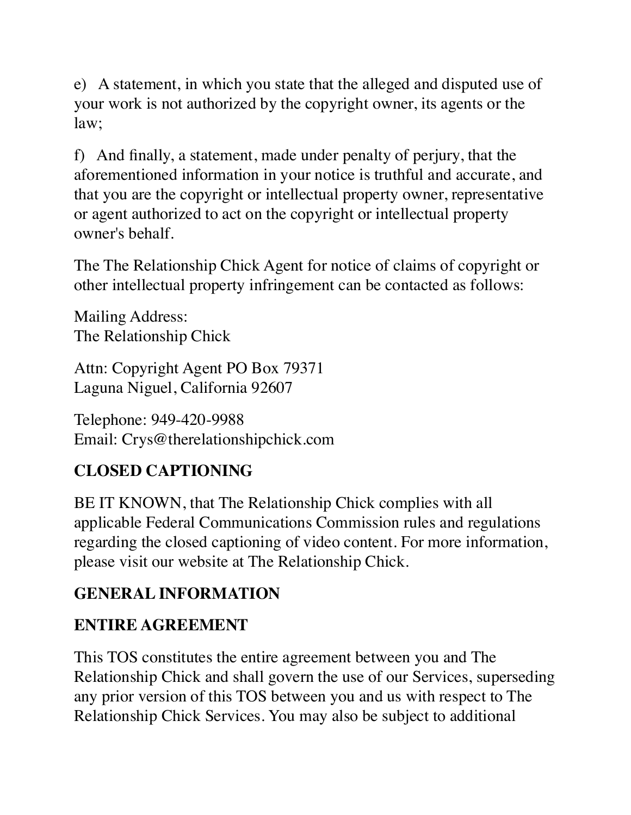e) A statement, in which you state that the alleged and disputed use of your work is not authorized by the copyright owner, its agents or the law;

f) And finally, a statement, made under penalty of perjury, that the aforementioned information in your notice is truthful and accurate, and that you are the copyright or intellectual property owner, representative or agent authorized to act on the copyright or intellectual property owner's behalf.

The The Relationship Chick Agent for notice of claims of copyright or other intellectual property infringement can be contacted as follows:

Mailing Address: The Relationship Chick

Attn: Copyright Agent PO Box 79371 Laguna Niguel, California 92607

Telephone: 949-420-9988 Email: Crys@therelationshipchick.com

# **CLOSED CAPTIONING**

BE IT KNOWN, that The Relationship Chick complies with all applicable Federal Communications Commission rules and regulations regarding the closed captioning of video content. For more information, please visit our website at The Relationship Chick.

# **GENERAL INFORMATION**

# **ENTIRE AGREEMENT**

This TOS constitutes the entire agreement between you and The Relationship Chick and shall govern the use of our Services, superseding any prior version of this TOS between you and us with respect to The Relationship Chick Services. You may also be subject to additional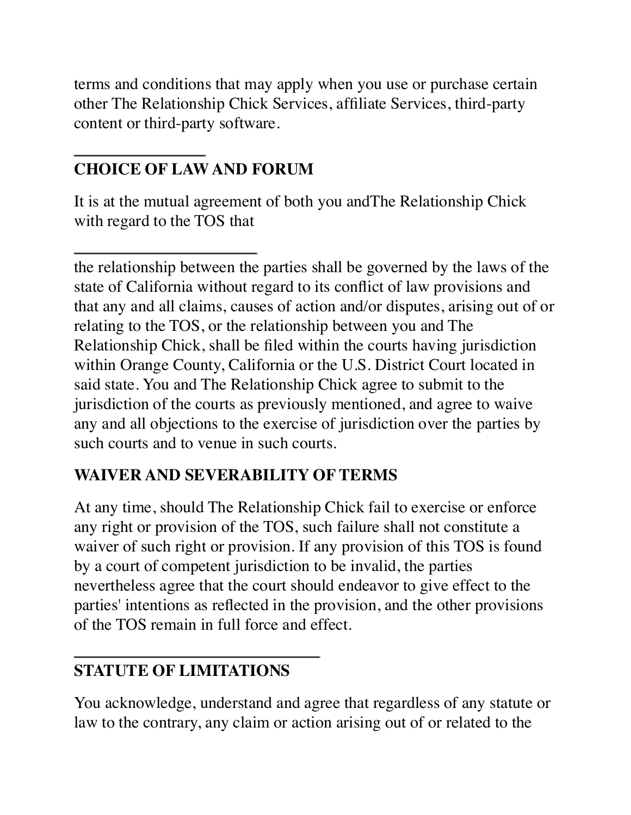terms and conditions that may apply when you use or purchase certain other The Relationship Chick Services, affiliate Services, third-party content or third-party software.

### **CHOICE OF LAW AND FORUM**

It is at the mutual agreement of both you andThe Relationship Chick with regard to the TOS that

the relationship between the parties shall be governed by the laws of the state of California without regard to its conflict of law provisions and that any and all claims, causes of action and/or disputes, arising out of or relating to the TOS, or the relationship between you and The Relationship Chick, shall be filed within the courts having jurisdiction within Orange County, California or the U.S. District Court located in said state. You and The Relationship Chick agree to submit to the jurisdiction of the courts as previously mentioned, and agree to waive any and all objections to the exercise of jurisdiction over the parties by such courts and to venue in such courts.

#### **WAIVER AND SEVERABILITY OF TERMS**

At any time, should The Relationship Chick fail to exercise or enforce any right or provision of the TOS, such failure shall not constitute a waiver of such right or provision. If any provision of this TOS is found by a court of competent jurisdiction to be invalid, the parties nevertheless agree that the court should endeavor to give effect to the parties' intentions as reflected in the provision, and the other provisions of the TOS remain in full force and effect.

#### **STATUTE OF LIMITATIONS**

You acknowledge, understand and agree that regardless of any statute or law to the contrary, any claim or action arising out of or related to the